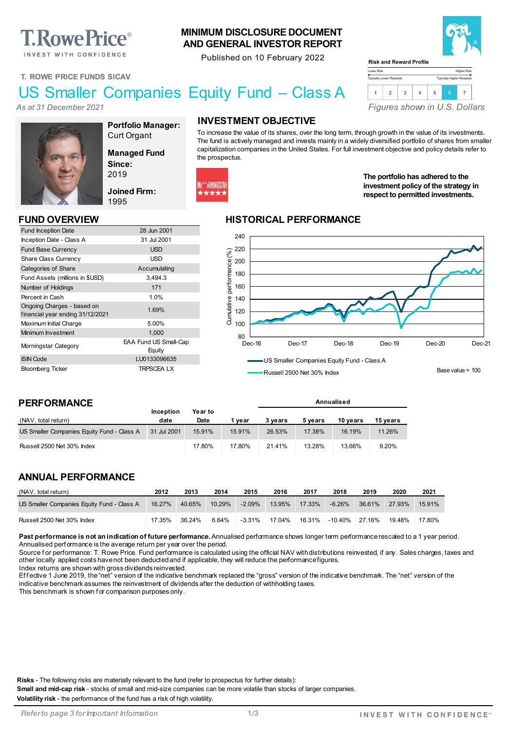# **T. Rowe Price**®

INVEST WITH CONFIDENCE

#### **MINIMUM DISCLOSURE DOCUMENT AND GENERAL INVESTOR REPORT**

Published on 10 February 2022



Higher Risk Typically Higher Rewards

**T. ROWE PRICE FUNDS SICAV**

## US Smaller Companies Equity Fund – Class A

*As at 31 December 2021*



**Portfolio Manager:** Curt Organt

**Equity** 

**Managed Fund Since:** 2019

**Joined Firm:** 1995

Fund Inception Date 28 Jun 2001 Inception Date - Class A 31 Jul 2001 Fund Base Currency **Example 20 SO EXAMPLE 2018** Share Class Currency **USD** Categories of Share Accumulating Fund Assets (millions in \$USD) 3,494.3 Number of Holdings 171 Percent in Cash 1.0%

In understanding Unarges - based on<br>
financial year ending 31/12/2021 Maximum Initial Charge 5.00% Minimum Investment 1,000 Morningstar Category EAA Fund US Small-Cap

ISIN Code LU0133096635 Bloomberg Ticker TRPSCEA LX

#### **INVESTMENT OBJECTIVE**

To increase the value of its shares, over the long term, through growth in the value of its investments. The fund is actively managed and invests mainly in a widely diversified portfolio of shares from smaller capitalization companies in the United States. For full investment objective and policy details refer to the prospectus.

Lower Risk Typically Lower Rewards

**Risk and Reward Profile**



#### **The portfolio has adhered to the investment policy of the strategy in respect to permitted investments.**

*Figures shown in U.S. Dollars*

1 2 3 4 5 **<sup>6</sup>** <sup>7</sup>

#### **FUND OVERVIEW HISTORICAL PERFORMANCE**



Russell 2500 Net 30% Index

**Annualised**

Base value = 100

#### **PERFORMANCE**

Ongoing Charges - based on

| (NAV, total return)                        | Inception<br>date | Year to<br>Date | vear   | 3 vears | 5 years | 10 vears | 15 vears |
|--------------------------------------------|-------------------|-----------------|--------|---------|---------|----------|----------|
| US Smaller Companies Equity Fund - Class A | 31 Jul 2001       | 15.91%          | 15.91% | 26.53%  | 17.38%  | 16.19%   | 11.26%   |
| Russell 2500 Net 30% Index                 |                   | 17.80%          | 17.80% | 21.41%  | 13.28%  | 13.66%   | 9.20%    |

#### **ANNUAL PERFORMANCE**

| (NAV, total return)                        | 2012   | 2013   | 2014   | 2015      | 2016   | 2017   | 2018           | 2019   | 2020   | 2021   |
|--------------------------------------------|--------|--------|--------|-----------|--------|--------|----------------|--------|--------|--------|
| US Smaller Companies Equity Fund - Class A | 16.27% | 40.65% | 10.29% | $-2.09%$  | 13.95% | 17.33% | -6.26%         | 36.61% | 27.93% | 15.91% |
| Russell 2500 Net 30% Index                 | 17.35% | 36.24% | 6.64%  | $-3.31\%$ | 17.04% | 16.31% | -10.40% 27.16% |        | 19.48% | 17.80% |

Past performance is not an indication of future performance. Annualised performance shows longer term performance rescaled to a 1 year period. Annualised perf ormance is the average return per year over the period.

Source for performance: T. Rowe Price. Fund performance is calculated using the official NAV with distributions reinvested, if any. Sales charges, taxes and other locally applied costs have not been deducted and if applicable, they will reduce the performance figures.

Index returns are shown with gross dividends reinvested.

Effective 1 June 2019, the "net" version of the indicative benchmark replaced the "gross" version of the indicative benchmark. The "net" version of the indicative benchmark assumes the reinvestment of dividends after the deduction of withholding taxes.

This benchmark is shown f or comparison purposes only.

**Risks** - The following risks are materially relevant to the fund (refer to prospectus for further details):

**Small and mid-cap risk** - stocks of small and mid-size companies can be more volatile than stocks of larger companies.

**Volatility risk** - the performance of the fund has a risk of high volatility.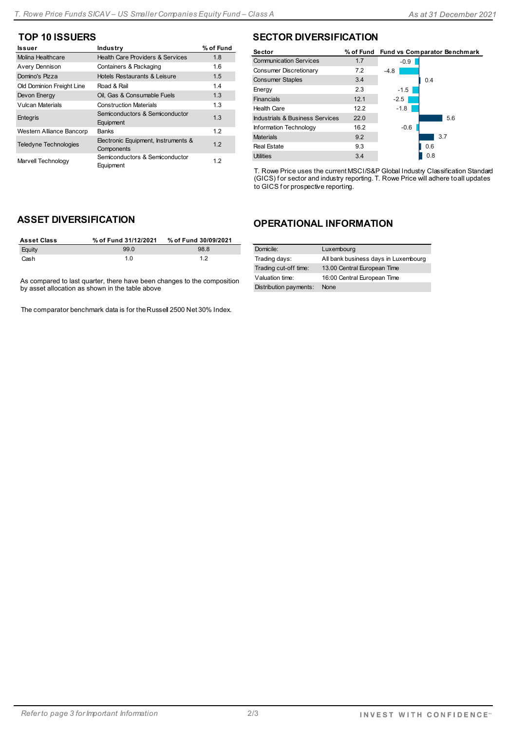| Issuer                       | Industry                                          | % of Fund |
|------------------------------|---------------------------------------------------|-----------|
| Molina Healthcare            | <b>Health Care Providers &amp; Services</b>       | 1.8       |
| Avery Dennison               | Containers & Packaging                            | 1.6       |
| Domino's Pizza               | Hotels Restaurants & Leisure                      | 1.5       |
| Old Dominion Freight Line    | Road & Rail                                       | 14        |
| Devon Energy                 | Oil, Gas & Consumable Fuels                       | 1.3       |
| Vulcan Materials             | <b>Construction Materials</b>                     | 1.3       |
| Entegris                     | Semiconductors & Semiconductor<br>Equipment       | 1.3       |
| Western Alliance Bancorp     | <b>Banks</b>                                      | 12        |
| <b>Teledyne Technologies</b> | Electronic Equipment, Instruments &<br>Components | 12        |
| Marvell Technology           | Semiconductors & Semiconductor<br>Equipment       | 1.2       |

### **TOP 10 ISSUERS SECTOR DIVERSIFICATION**

| Sector                          | % of Fund |        | <b>Fund vs Comparator Benchmark</b> |
|---------------------------------|-----------|--------|-------------------------------------|
| <b>Communication Services</b>   | 1.7       | $-0.9$ |                                     |
| Consumer Discretionary          | 7.2       | $-4.8$ |                                     |
| <b>Consumer Staples</b>         | 3.4       |        | 0.4                                 |
| Energy                          | 2.3       | $-1.5$ |                                     |
| Financials                      | 12.1      | $-2.5$ |                                     |
| <b>Health Care</b>              | 12.2      | $-1.8$ |                                     |
| Industrials & Business Services | 22.0      |        | 5.6                                 |
| Information Technology          | 16.2      | $-0.6$ |                                     |
| <b>Materials</b>                | 9.2       |        | 3.7                                 |
| <b>Real Estate</b>              | 9.3       |        | 0.6                                 |
| <b>Utilities</b>                | 3.4       |        | 0.8                                 |

T. Rowe Price uses the current MSCI/S&P Global Industry Classification Standard (GICS) f or sector and industry reporting. T. Rowe Price will adhere to all updates to GICS f or prospective reporting.

### **ASSET DIVERSIFICATION**

| <b>Asset Class</b> | % of Fund 31/12/2021 | % of Fund 30/09/2021 |
|--------------------|----------------------|----------------------|
| Equity             | 990                  | 98.8                 |
| Cash               | 1 N                  | 12                   |

As compared to last quarter, there have been changes to the composition by asset allocation as shown in the table above

The comparator benchmark data is for the Russel 2500 Net 30% Index.

#### **OPERATIONAL INFORMATION**

| Domicile:              | Luxembourg                           |
|------------------------|--------------------------------------|
| Trading days:          | All bank business days in Luxembourg |
| Trading cut-off time:  | 13.00 Central European Time          |
| Valuation time:        | 16:00 Central European Time          |
| Distribution payments: | None                                 |